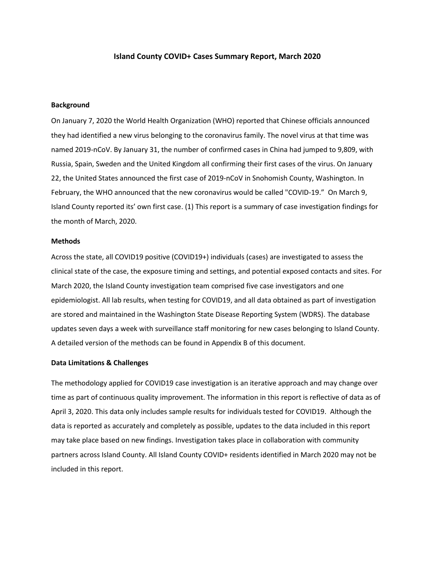#### **Island County COVID+ Cases Summary Report, March 2020**

#### **Background**

On January 7, 2020 the World Health Organization (WHO) reported that Chinese officials announced they had identified a new virus belonging to the coronavirus family. The novel virus at that time was named 2019-nCoV. By January 31, the number of confirmed cases in China had jumped to 9,809, with Russia, Spain, Sweden and the United Kingdom all confirming their first cases of the virus. On January 22, the United States announced the first case of 2019-nCoV in Snohomish County, Washington. In February, the WHO announced that the new coronavirus would be called "COVID-19." On March 9, Island County reported its' own first case. (1) This report is a summary of case investigation findings for the month of March, 2020.

#### **Methods**

Across the state, all COVID19 positive (COVID19+) individuals (cases) are investigated to assess the clinical state of the case, the exposure timing and settings, and potential exposed contacts and sites. For March 2020, the Island County investigation team comprised five case investigators and one epidemiologist. All lab results, when testing for COVID19, and all data obtained as part of investigation are stored and maintained in the Washington State Disease Reporting System (WDRS). The database updates seven days a week with surveillance staff monitoring for new cases belonging to Island County. A detailed version of the methods can be found in Appendix B of this document.

#### **Data Limitations & Challenges**

The methodology applied for COVID19 case investigation is an iterative approach and may change over time as part of continuous quality improvement. The information in this report is reflective of data as of April 3, 2020. This data only includes sample results for individuals tested for COVID19. Although the data is reported as accurately and completely as possible, updates to the data included in this report may take place based on new findings. Investigation takes place in collaboration with community partners across Island County. All Island County COVID+ residents identified in March 2020 may not be included in this report.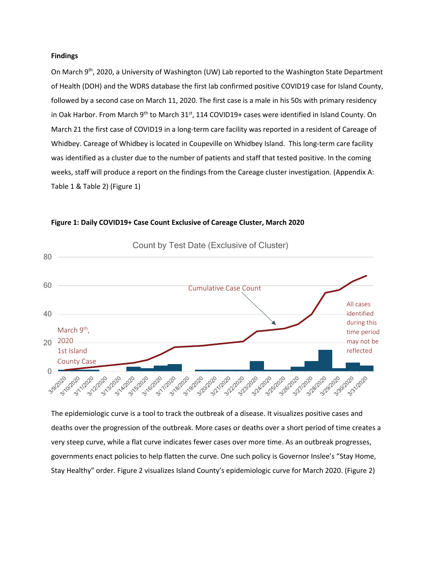#### **Findings**

On March 9<sup>th</sup>, 2020, a University of Washington (UW) Lab reported to the Washington State Department of Health (DOH) and the WDRS database the first lab confirmed positive COVID19 case for Island County, followed by a second case on March 11, 2020. The first case is a male in his 50s with primary residency in Oak Harbor. From March 9<sup>th</sup> to March 31<sup>st</sup>, 114 COVID19+ cases were identified in Island County. On March 21 the first case of COVID19 in a long-term care facility was reported in a resident of Careage of Whidbey. Careage of Whidbey is located in Coupeville on Whidbey Island. This long-term care facility was identified as a cluster due to the number of patients and staff that tested positive. In the coming weeks, staff will produce a report on the findings from the Careage cluster investigation. (Appendix A: Table 1 & Table 2) (Figure 1)



**Figure 1: Daily COVID19+ Case Count Exclusive of Careage Cluster, March 2020**

The epidemiologic curve is a tool to track the outbreak of a disease. It visualizes positive cases and deaths over the progression of the outbreak. More cases or deaths over a short period of time creates a very steep curve, while a flat curve indicates fewer cases over more time. As an outbreak progresses, governments enact policies to help flatten the curve. One such policy is Governor Inslee's "Stay Home, Stay Healthy" order. Figure 2 visualizes Island County's epidemiologic curve for March 2020. (Figure 2)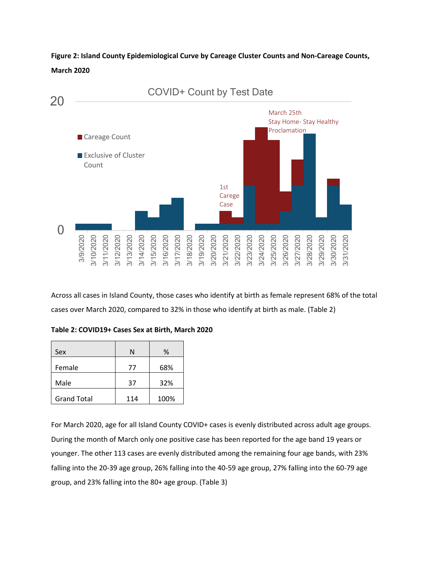**Figure 2: Island County Epidemiological Curve by Careage Cluster Counts and Non-Careage Counts, March 2020**



Across all cases in Island County, those cases who identify at birth as female represent 68% of the total cases over March 2020, compared to 32% in those who identify at birth as male. (Table 2)

**Table 2: COVID19+ Cases Sex at Birth, March 2020**

| Sex                | N   | ℅    |
|--------------------|-----|------|
| Female             | 77  | 68%  |
| Male               | 37  | 32%  |
| <b>Grand Total</b> | 114 | 100% |

For March 2020, age for all Island County COVID+ cases is evenly distributed across adult age groups. During the month of March only one positive case has been reported for the age band 19 years or younger. The other 113 cases are evenly distributed among the remaining four age bands, with 23% falling into the 20-39 age group, 26% falling into the 40-59 age group, 27% falling into the 60-79 age group, and 23% falling into the 80+ age group. (Table 3)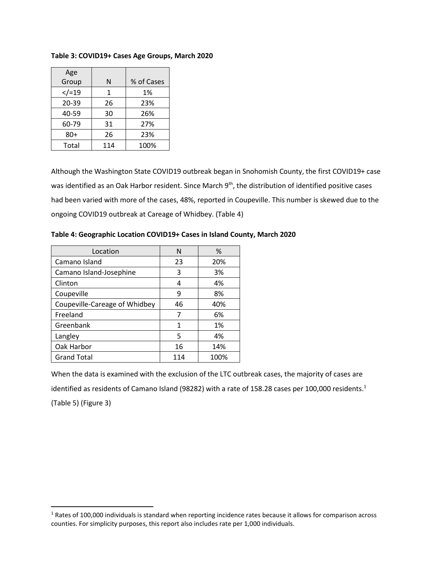| Age      |     |            |
|----------|-----|------------|
| Group    | N   | % of Cases |
| $<$ /=19 | 1   | 1%         |
| 20-39    | 26  | 23%        |
| 40-59    | 30  | 26%        |
| 60-79    | 31  | 27%        |
| $80+$    | 26  | 23%        |
| Total    | 114 | 100%       |

#### **Table 3: COVID19+ Cases Age Groups, March 2020**

Although the Washington State COVID19 outbreak began in Snohomish County, the first COVID19+ case was identified as an Oak Harbor resident. Since March 9<sup>th</sup>, the distribution of identified positive cases had been varied with more of the cases, 48%, reported in Coupeville. This number is skewed due to the ongoing COVID19 outbreak at Careage of Whidbey. (Table 4)

| Table 4: Geographic Location COVID19+ Cases in Island County, March 2020 |  |  |
|--------------------------------------------------------------------------|--|--|
|                                                                          |  |  |

| Location                      | ٨   | %    |
|-------------------------------|-----|------|
| Camano Island                 | 23  | 20%  |
| Camano Island-Josephine       | 3   | 3%   |
| Clinton                       | 4   | 4%   |
| Coupeville                    | 9   | 8%   |
| Coupeville-Careage of Whidbey | 46  | 40%  |
| Freeland                      | 7   | 6%   |
| Greenbank                     | 1   | 1%   |
| Langley                       | 5   | 4%   |
| Oak Harbor                    | 16  | 14%  |
| <b>Grand Total</b>            | 114 | 100% |

 $\overline{\phantom{a}}$ 

When the data is examined with the exclusion of the LTC outbreak cases, the majority of cases are identified as residents of Camano Island (98282) with a rate of 158.28 cases per 100,000 residents.<sup>1</sup> (Table 5) (Figure 3)

 $1$  Rates of 100,000 individuals is standard when reporting incidence rates because it allows for comparison across counties. For simplicity purposes, this report also includes rate per 1,000 individuals.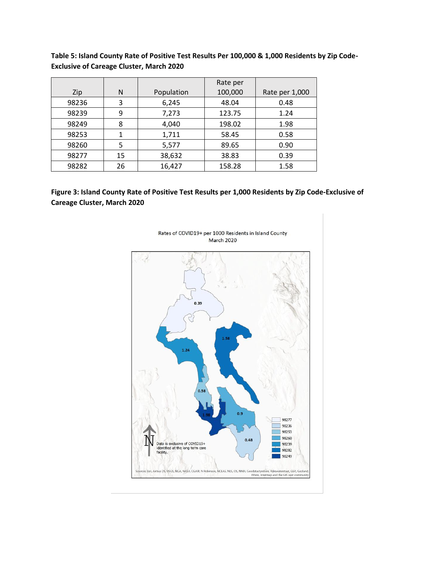|       |    |            | Rate per |                |
|-------|----|------------|----------|----------------|
| Zip   | N  | Population | 100,000  | Rate per 1,000 |
| 98236 | 3  | 6,245      | 48.04    | 0.48           |
| 98239 | 9  | 7,273      | 123.75   | 1.24           |
| 98249 | 8  | 4,040      | 198.02   | 1.98           |
| 98253 | 1  | 1,711      | 58.45    | 0.58           |
| 98260 | 5  | 5,577      | 89.65    | 0.90           |
| 98277 | 15 | 38,632     | 38.83    | 0.39           |
| 98282 | 26 | 16,427     | 158.28   | 1.58           |

**Table 5: Island County Rate of Positive Test Results Per 100,000 & 1,000 Residents by Zip Code-Exclusive of Careage Cluster, March 2020**

**Figure 3: Island County Rate of Positive Test Results per 1,000 Residents by Zip Code-Exclusive of Careage Cluster, March 2020**



Rates of COVID19+ per 1000 Residents in Island County March 2020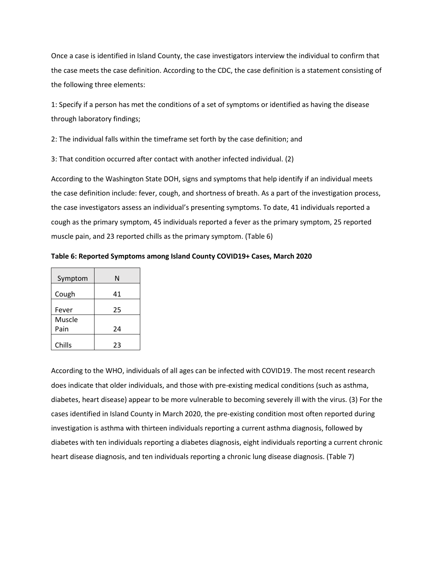Once a case is identified in Island County, the case investigators interview the individual to confirm that the case meets the case definition. According to the CDC, the case definition is a statement consisting of the following three elements:

1: Specify if a person has met the conditions of a set of symptoms or identified as having the disease through laboratory findings;

2: The individual falls within the timeframe set forth by the case definition; and

3: That condition occurred after contact with another infected individual. (2)

According to the Washington State DOH, signs and symptoms that help identify if an individual meets the case definition include: fever, cough, and shortness of breath. As a part of the investigation process, the case investigators assess an individual's presenting symptoms. To date, 41 individuals reported a cough as the primary symptom, 45 individuals reported a fever as the primary symptom, 25 reported muscle pain, and 23 reported chills as the primary symptom. (Table 6)

**Table 6: Reported Symptoms among Island County COVID19+ Cases, March 2020**

| Symptom | N  |
|---------|----|
| Cough   | 41 |
| Fever   | 25 |
| Muscle  |    |
| Pain    | 24 |
| Chills  | 23 |

According to the WHO, individuals of all ages can be infected with COVID19. The most recent research does indicate that older individuals, and those with pre-existing medical conditions (such as asthma, diabetes, heart disease) appear to be more vulnerable to becoming severely ill with the virus. (3) For the cases identified in Island County in March 2020, the pre-existing condition most often reported during investigation is asthma with thirteen individuals reporting a current asthma diagnosis, followed by diabetes with ten individuals reporting a diabetes diagnosis, eight individuals reporting a current chronic heart disease diagnosis, and ten individuals reporting a chronic lung disease diagnosis. (Table 7)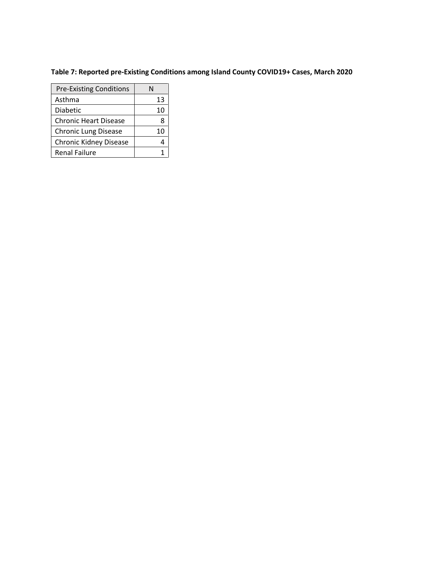## **Table 7: Reported pre-Existing Conditions among Island County COVID19+ Cases, March 2020**

| <b>Pre-Existing Conditions</b> |    |
|--------------------------------|----|
| Asthma                         | 13 |
| Diabetic                       | 10 |
| <b>Chronic Heart Disease</b>   |    |
| <b>Chronic Lung Disease</b>    | 10 |
| <b>Chronic Kidney Disease</b>  |    |
| <b>Renal Failure</b>           |    |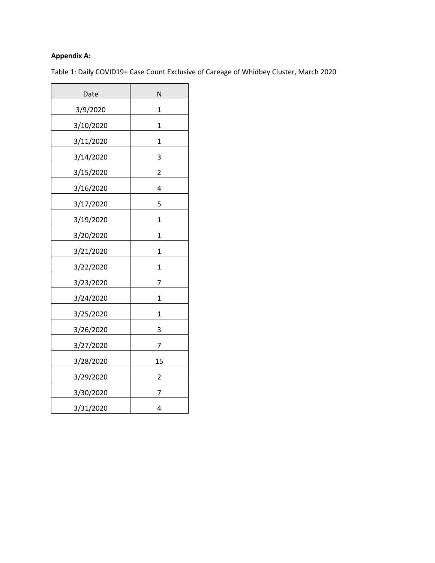### **Appendix A:**

Table 1: Daily COVID19+ Case Count Exclusive of Careage of Whidbey Cluster, March 2020

| Date      | N           |
|-----------|-------------|
| 3/9/2020  | 1           |
| 3/10/2020 | 1           |
| 3/11/2020 | 1           |
| 3/14/2020 | 3           |
| 3/15/2020 | 2           |
| 3/16/2020 | 4           |
| 3/17/2020 | 5           |
| 3/19/2020 | 1           |
| 3/20/2020 | $\mathbf 1$ |
| 3/21/2020 | 1           |
| 3/22/2020 | 1           |
| 3/23/2020 | 7           |
| 3/24/2020 | 1           |
| 3/25/2020 | 1           |
| 3/26/2020 | 3           |
| 3/27/2020 | 7           |
| 3/28/2020 | 15          |
| 3/29/2020 | 2           |
| 3/30/2020 | 7           |
| 3/31/2020 | 4           |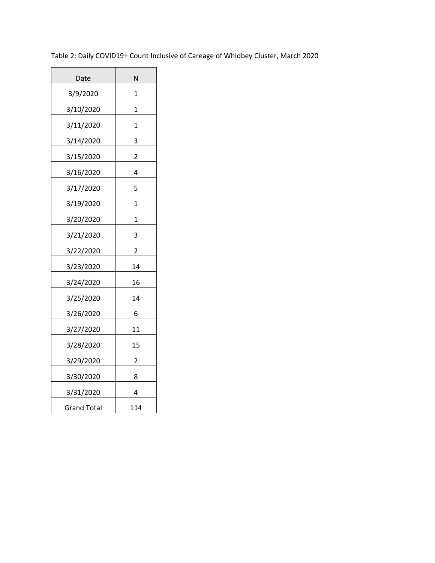| Date               | N                       |
|--------------------|-------------------------|
| 3/9/2020           | 1                       |
| 3/10/2020          | 1                       |
| 3/11/2020          | $\mathbf 1$             |
| 3/14/2020          | 3                       |
| 3/15/2020          | $\overline{2}$          |
| 3/16/2020          | 4                       |
| 3/17/2020          | 5                       |
| 3/19/2020          | 1                       |
| 3/20/2020          | 1                       |
| 3/21/2020          | 3                       |
| 3/22/2020          | $\overline{\mathbf{c}}$ |
| 3/23/2020          | 14                      |
| 3/24/2020          | 16                      |
| 3/25/2020          | 14                      |
| 3/26/2020          | 6                       |
| 3/27/2020          | 11                      |
| 3/28/2020          | 15                      |
| 3/29/2020          | 2                       |
| 3/30/2020          | 8                       |
| 3/31/2020          | 4                       |
| <b>Grand Total</b> | 114                     |

Table 2: Daily COVID19+ Count Inclusive of Careage of Whidbey Cluster, March 2020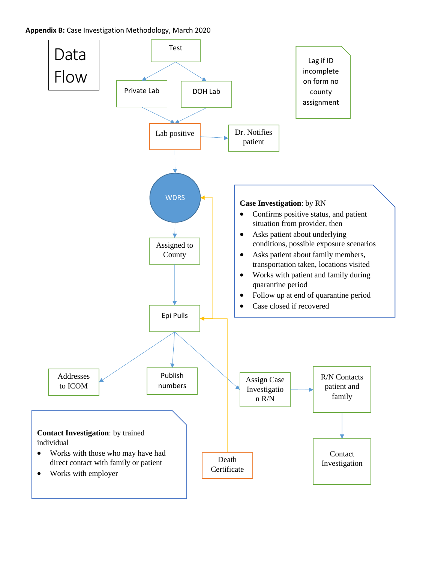### **Appendix B:** Case Investigation Methodology, March 2020